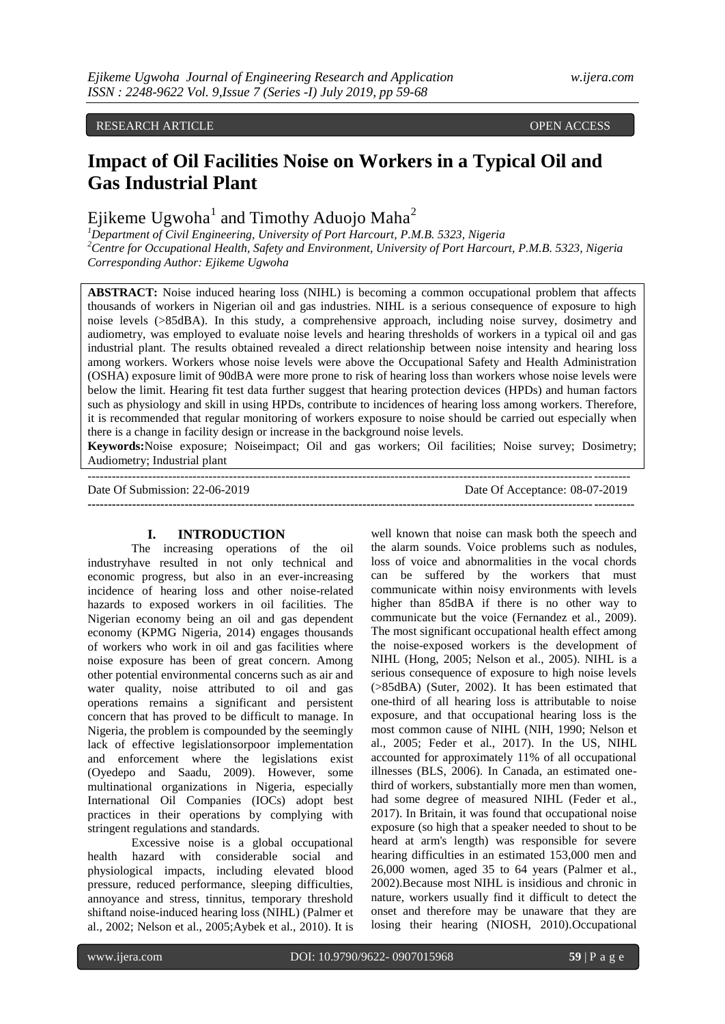RESEARCH ARTICLE **OPEN ACCESS** 

# **Impact of Oil Facilities Noise on Workers in a Typical Oil and Gas Industrial Plant**

Ejikeme Ugwoha<sup>1</sup> and Timothy Aduojo Maha<sup>2</sup>

*<sup>1</sup>Department of Civil Engineering, University of Port Harcourt, P.M.B. 5323, Nigeria <sup>2</sup>Centre for Occupational Health, Safety and Environment, University of Port Harcourt, P.M.B. 5323, Nigeria Corresponding Author: Ejikeme Ugwoha*

**ABSTRACT:** Noise induced hearing loss (NIHL) is becoming a common occupational problem that affects thousands of workers in Nigerian oil and gas industries. NIHL is a serious consequence of exposure to high noise levels (>85dBA). In this study, a comprehensive approach, including noise survey, dosimetry and audiometry, was employed to evaluate noise levels and hearing thresholds of workers in a typical oil and gas industrial plant. The results obtained revealed a direct relationship between noise intensity and hearing loss among workers. Workers whose noise levels were above the Occupational Safety and Health Administration (OSHA) exposure limit of 90dBA were more prone to risk of hearing loss than workers whose noise levels were below the limit. Hearing fit test data further suggest that hearing protection devices (HPDs) and human factors such as physiology and skill in using HPDs, contribute to incidences of hearing loss among workers. Therefore, it is recommended that regular monitoring of workers exposure to noise should be carried out especially when there is a change in facility design or increase in the background noise levels.

**Keywords:**Noise exposure; Noiseimpact; Oil and gas workers; Oil facilities; Noise survey; Dosimetry; Audiometry; Industrial plant

--------------------------------------------------------------------------------------------------------------------------------------

Date Of Submission: 22-06-2019 Date Of Acceptance: 08-07-2019 **---------------------------------------------------------------------------------------------------------------------------------------**

## **I. INTRODUCTION**

The increasing operations of the oil industryhave resulted in not only technical and economic progress, but also in an ever-increasing incidence of hearing loss and other noise-related hazards to exposed workers in oil facilities. The Nigerian economy being an oil and gas dependent economy (KPMG Nigeria, 2014) engages thousands of workers who work in oil and gas facilities where noise exposure has been of great concern. Among other potential environmental concerns such as air and water quality, noise attributed to oil and gas operations remains a significant and persistent concern that has proved to be difficult to manage. In Nigeria, the problem is compounded by the seemingly lack of effective legislationsorpoor implementation and enforcement where the legislations exist (Oyedepo and Saadu, 2009). However, some multinational organizations in Nigeria, especially International Oil Companies (IOCs) adopt best practices in their operations by complying with stringent regulations and standards.

Excessive noise is a global occupational health hazard with considerable social and physiological impacts, including elevated blood pressure, reduced performance, sleeping difficulties, annoyance and stress, tinnitus, temporary threshold shiftand noise-induced hearing loss (NIHL) (Palmer et al., 2002; Nelson et al., 2005;Aybek et al., 2010). It is

well known that noise can mask both the speech and the alarm sounds. Voice problems such as nodules, loss of voice and abnormalities in the vocal chords can be suffered by the workers that must communicate within noisy environments with levels higher than 85dBA if there is no other way to communicate but the voice (Fernandez et al., 2009). The most significant occupational health effect among the noise-exposed workers is the development of NIHL (Hong, 2005; Nelson et al., 2005). NIHL is a serious consequence of exposure to high noise levels (>85dBA) (Suter, 2002). It has been estimated that one-third of all hearing loss is attributable to noise exposure, and that occupational hearing loss is the most common cause of NIHL (NIH, 1990; Nelson et al., 2005; Feder et al., 2017). In the US, NIHL accounted for approximately 11% of all occupational illnesses (BLS, 2006). In Canada, an estimated onethird of workers, substantially more men than women, had some degree of measured NIHL (Feder et al., 2017). In Britain, it was found that occupational noise exposure (so high that a speaker needed to shout to be heard at arm's length) was responsible for severe hearing difficulties in an estimated 153,000 men and 26,000 women, aged 35 to 64 years (Palmer et al., 2002).Because most NIHL is insidious and chronic in nature, workers usually find it difficult to detect the onset and therefore may be unaware that they are losing their hearing (NIOSH, 2010).Occupational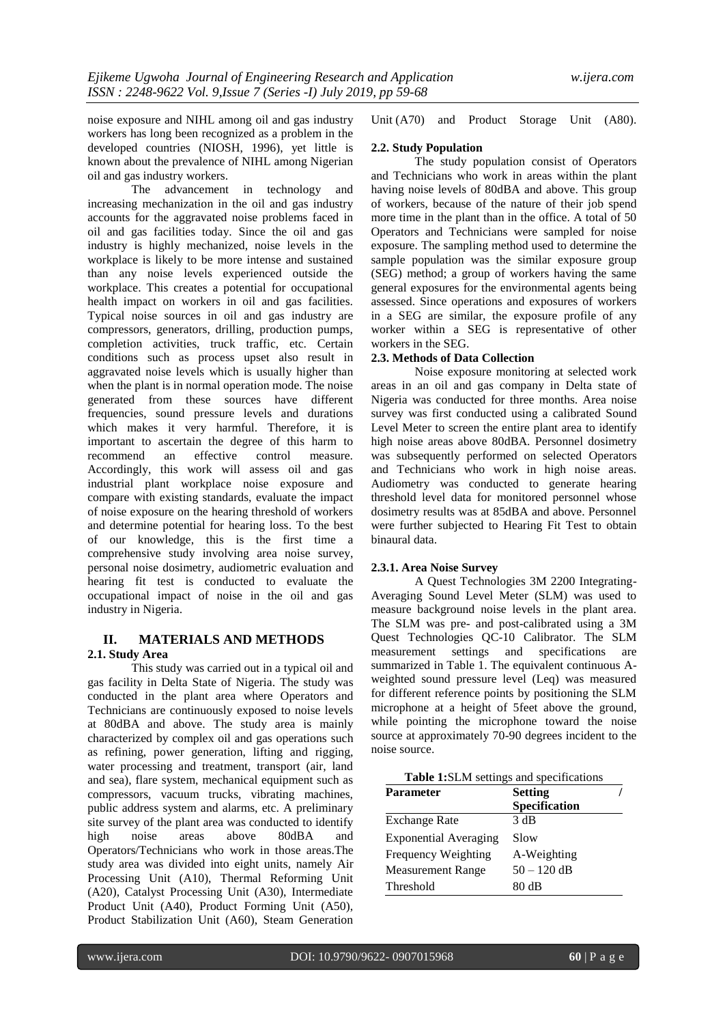noise exposure and NIHL among oil and gas industry workers has long been recognized as a problem in the developed countries (NIOSH, 1996), yet little is known about the prevalence of NIHL among Nigerian oil and gas industry workers.

The advancement in technology and increasing mechanization in the oil and gas industry accounts for the aggravated noise problems faced in oil and gas facilities today. Since the oil and gas industry is highly mechanized, noise levels in the workplace is likely to be more intense and sustained than any noise levels experienced outside the workplace. This creates a potential for occupational health impact on workers in oil and gas facilities. Typical noise sources in oil and gas industry are compressors, generators, drilling, production pumps, completion activities, truck traffic, etc. Certain conditions such as process upset also result in aggravated noise levels which is usually higher than when the plant is in normal operation mode. The noise generated from these sources have different frequencies, sound pressure levels and durations which makes it very harmful. Therefore, it is important to ascertain the degree of this harm to recommend an effective control measure. Accordingly, this work will assess oil and gas industrial plant workplace noise exposure and compare with existing standards, evaluate the impact of noise exposure on the hearing threshold of workers and determine potential for hearing loss. To the best of our knowledge, this is the first time a comprehensive study involving area noise survey, personal noise dosimetry, audiometric evaluation and hearing fit test is conducted to evaluate the occupational impact of noise in the oil and gas industry in Nigeria.

# **II. MATERIALS AND METHODS 2.1. Study Area**

This study was carried out in a typical oil and gas facility in Delta State of Nigeria. The study was conducted in the plant area where Operators and Technicians are continuously exposed to noise levels at 80dBA and above. The study area is mainly characterized by complex oil and gas operations such as refining, power generation, lifting and rigging, water processing and treatment, transport (air, land and sea), flare system, mechanical equipment such as compressors, vacuum trucks, vibrating machines, public address system and alarms, etc. A preliminary site survey of the plant area was conducted to identify high noise areas above 80dBA and Operators/Technicians who work in those areas.The study area was divided into eight units, namely Air Processing Unit (A10), Thermal Reforming Unit (A20), Catalyst Processing Unit (A30), Intermediate Product Unit (A40), Product Forming Unit (A50), Product Stabilization Unit (A60), Steam Generation

Unit (A70) and Product Storage Unit (A80).

# **2.2. Study Population**

The study population consist of Operators and Technicians who work in areas within the plant having noise levels of 80dBA and above. This group of workers, because of the nature of their job spend more time in the plant than in the office. A total of 50 Operators and Technicians were sampled for noise exposure. The sampling method used to determine the sample population was the similar exposure group (SEG) method; a group of workers having the same general exposures for the environmental agents being assessed. Since operations and exposures of workers in a SEG are similar, the exposure profile of any worker within a SEG is representative of other workers in the SEG.

# **2.3. Methods of Data Collection**

Noise exposure monitoring at selected work areas in an oil and gas company in Delta state of Nigeria was conducted for three months. Area noise survey was first conducted using a calibrated Sound Level Meter to screen the entire plant area to identify high noise areas above 80dBA. Personnel dosimetry was subsequently performed on selected Operators and Technicians who work in high noise areas. Audiometry was conducted to generate hearing threshold level data for monitored personnel whose dosimetry results was at 85dBA and above. Personnel were further subjected to Hearing Fit Test to obtain binaural data.

# **2.3.1. Area Noise Survey**

A Quest Technologies 3M 2200 Integrating-Averaging Sound Level Meter (SLM) was used to measure background noise levels in the plant area. The SLM was pre- and post-calibrated using a 3M Quest Technologies QC-10 Calibrator. The SLM measurement settings and specifications are summarized in Table 1. The equivalent continuous Aweighted sound pressure level (Leq) was measured for different reference points by positioning the SLM microphone at a height of 5feet above the ground, while pointing the microphone toward the noise source at approximately 70-90 degrees incident to the noise source.

|  |  | <b>Table 1:SLM</b> settings and specifications |
|--|--|------------------------------------------------|
|  |  |                                                |

| <b>Parameter</b>             | <b>Setting</b> |
|------------------------------|----------------|
|                              | Specification  |
| <b>Exchange Rate</b>         | 3 dB           |
| <b>Exponential Averaging</b> | Slow           |
| Frequency Weighting          | A-Weighting    |
| <b>Measurement Range</b>     | $50 - 120$ dB  |
| Threshold                    | 80 dB          |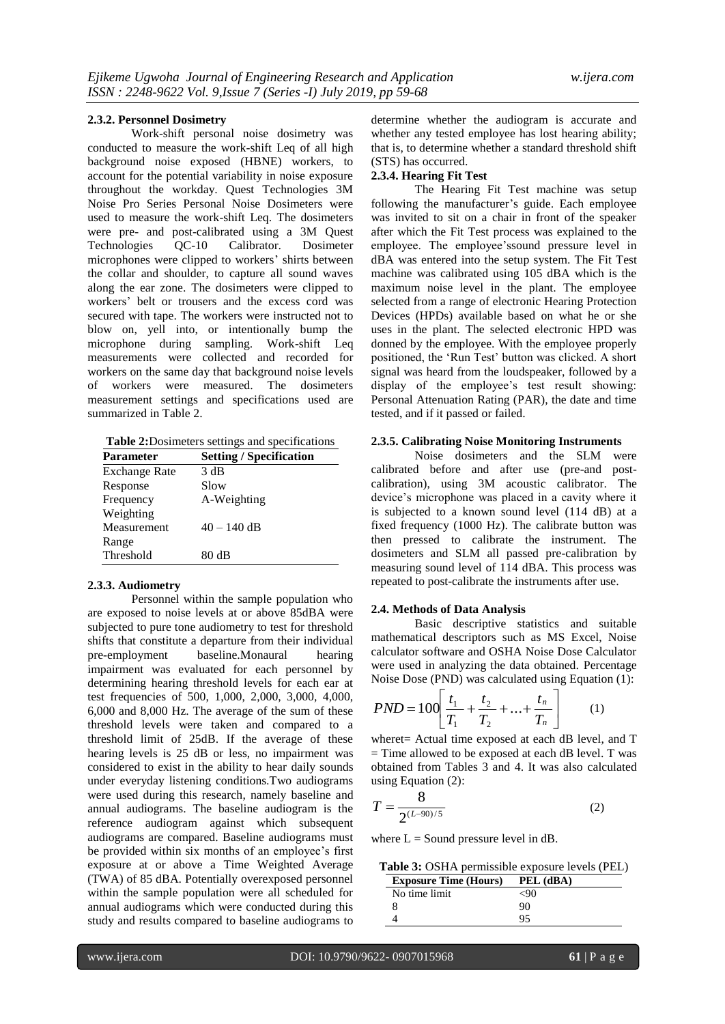## **2.3.2. Personnel Dosimetry**

Work-shift personal noise dosimetry was conducted to measure the work-shift Leq of all high background noise exposed (HBNE) workers, to account for the potential variability in noise exposure throughout the workday. Quest Technologies 3M Noise Pro Series Personal Noise Dosimeters were used to measure the work-shift Leq. The dosimeters were pre- and post-calibrated using a 3M Quest Technologies QC-10 Calibrator. Dosimeter microphones were clipped to workers' shirts between the collar and shoulder, to capture all sound waves along the ear zone. The dosimeters were clipped to workers' belt or trousers and the excess cord was secured with tape. The workers were instructed not to blow on, yell into, or intentionally bump the microphone during sampling. Work-shift Leq measurements were collected and recorded for workers on the same day that background noise levels of workers were measured. The dosimeters measurement settings and specifications used are summarized in Table 2.

**Table 2:**Dosimeters settings and specifications

| <b>Parameter</b>     | <b>Setting / Specification</b> |
|----------------------|--------------------------------|
| <b>Exchange Rate</b> | 3 dB                           |
| Response             | Slow                           |
| Frequency            | A-Weighting                    |
| Weighting            |                                |
| Measurement          | $40 - 140$ dB                  |
| Range                |                                |
| Threshold            | 80 dB                          |
|                      |                                |

## **2.3.3. Audiometry**

Personnel within the sample population who are exposed to noise levels at or above 85dBA were subjected to pure tone audiometry to test for threshold shifts that constitute a departure from their individual pre-employment baseline.Monaural hearing impairment was evaluated for each personnel by determining hearing threshold levels for each ear at test frequencies of 500, 1,000, 2,000, 3,000, 4,000, 6,000 and 8,000 Hz. The average of the sum of these threshold levels were taken and compared to a threshold limit of 25dB. If the average of these hearing levels is 25 dB or less, no impairment was considered to exist in the ability to hear daily sounds under everyday listening conditions.Two audiograms were used during this research, namely baseline and annual audiograms. The baseline audiogram is the reference audiogram against which subsequent audiograms are compared. Baseline audiograms must be provided within six months of an employee's first exposure at or above a Time Weighted Average (TWA) of 85 dBA. Potentially overexposed personnel within the sample population were all scheduled for annual audiograms which were conducted during this study and results compared to baseline audiograms to

determine whether the audiogram is accurate and whether any tested employee has lost hearing ability; that is, to determine whether a standard threshold shift (STS) has occurred.

# **2.3.4. Hearing Fit Test**

The Hearing Fit Test machine was setup following the manufacturer's guide. Each employee was invited to sit on a chair in front of the speaker after which the Fit Test process was explained to the employee. The employee'ssound pressure level in dBA was entered into the setup system. The Fit Test machine was calibrated using 105 dBA which is the maximum noise level in the plant. The employee selected from a range of electronic Hearing Protection Devices (HPDs) available based on what he or she uses in the plant. The selected electronic HPD was donned by the employee. With the employee properly positioned, the 'Run Test' button was clicked. A short signal was heard from the loudspeaker, followed by a display of the employee's test result showing: Personal Attenuation Rating (PAR), the date and time tested, and if it passed or failed.

#### **2.3.5. Calibrating Noise Monitoring Instruments**

Noise dosimeters and the SLM were calibrated before and after use (pre-and postcalibration), using 3M acoustic calibrator. The device's microphone was placed in a cavity where it is subjected to a known sound level (114 dB) at a fixed frequency (1000 Hz). The calibrate button was then pressed to calibrate the instrument. The dosimeters and SLM all passed pre-calibration by measuring sound level of 114 dBA. This process was repeated to post-calibrate the instruments after use.

#### **2.4. Methods of Data Analysis**

Basic descriptive statistics and suitable mathematical descriptors such as MS Excel, Noise calculator software and OSHA Noise Dose Calculator were used in analyzing the data obtained. Percentage Noise Dose (PND) was calculated using Equation (1):

$$
PND = 100 \left[ \frac{t_1}{T_1} + \frac{t_2}{T_2} + \dots + \frac{t_n}{T_n} \right] \tag{1}
$$

wheret= Actual time exposed at each dB level, and T  $=$  Time allowed to be exposed at each dB level. T was obtained from Tables 3 and 4. It was also calculated using Equation (2):

$$
T = \frac{8}{2^{(L-90)/5}}
$$
 (2)

where  $L =$  Sound pressure level in dB.

**Table 3:** OSHA permissible exposure levels (PEL)

| <b>Exposure Time (Hours)</b> | PEL (dBA) |
|------------------------------|-----------|
| No time limit                | -90       |
|                              | 90        |
|                              | 05        |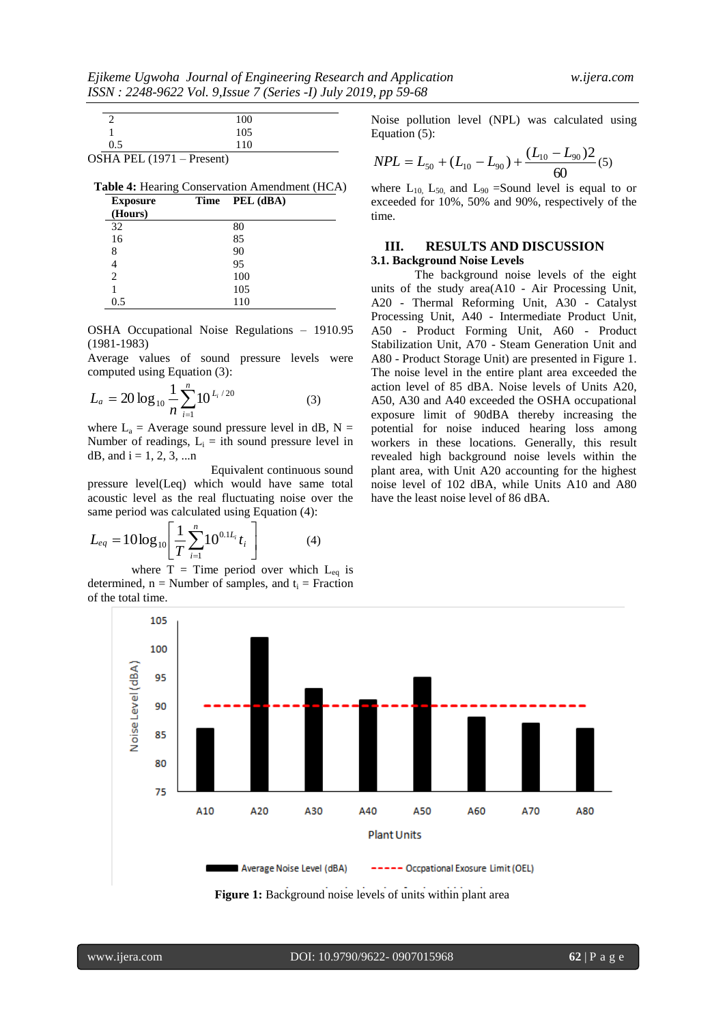|                           | 100 |
|---------------------------|-----|
|                           | 105 |
| 0.5                       | 110 |
| OSHA PEL (1971 – Present) |     |

**Table 4:** Hearing Conservation Amendment (HCA)

| <b>Exposure</b><br>(Hours) | Time | PEL (dBA) |  |
|----------------------------|------|-----------|--|
| 32                         |      | 80        |  |
| 16                         |      | 85        |  |
| 8                          |      | 90        |  |
|                            |      | 95        |  |
| 2                          |      | 100       |  |
|                            |      | 105       |  |
| 0.5                        |      | 110       |  |

OSHA Occupational Noise Regulations – 1910.95 (1981-1983)

Average values of sound pressure levels were computed using Equation (3):

$$
L_a = 20 \log_{10} \frac{1}{n} \sum_{i=1}^{n} 10^{\frac{L_i}{20}} \tag{3}
$$

where  $L_a$  = Average sound pressure level in dB, N = Number of readings,  $L_i$  = ith sound pressure level in dB, and  $i = 1, 2, 3, ...n$ 

Equivalent continuous sound pressure level(Leq) which would have same total acoustic level as the real fluctuating noise over the same period was calculated using Equation (4):

$$
L_{eq} = 10\log_{10}\left[\frac{1}{T}\sum_{i=1}^{n}10^{0.1L_i}t_i\right]
$$
 (4)

where  $T =$  Time period over which  $L_{eq}$  is determined,  $n =$  Number of samples, and  $t_i =$  Fraction of the total time.

Noise pollution level (NPL) was calculated using Equation (5):

$$
NPL = L_{50} + (L_{10} - L_{90}) + \frac{(L_{10} - L_{90})2}{60}(5)
$$

where  $L_{10}$ ,  $L_{50}$ , and  $L_{90}$  =Sound level is equal to or exceeded for 10%, 50% and 90%, respectively of the time.

# **III. RESULTS AND DISCUSSION 3.1. Background Noise Levels**

The background noise levels of the eight units of the study area(A10 - Air Processing Unit, A20 - Thermal Reforming Unit, A30 - Catalyst Processing Unit, A40 - Intermediate Product Unit, A50 - Product Forming Unit, A60 - Product Stabilization Unit, A70 - Steam Generation Unit and A80 - Product Storage Unit) are presented in Figure 1. The noise level in the entire plant area exceeded the action level of 85 dBA. Noise levels of Units A20, A50, A30 and A40 exceeded the OSHA occupational exposure limit of 90dBA thereby increasing the potential for noise induced hearing loss among workers in these locations. Generally, this result revealed high background noise levels within the plant area, with Unit A20 accounting for the highest noise level of 102 dBA, while Units A10 and A80 have the least noise level of 86 dBA.



**Figure 1:** Background noise levels of units within plant area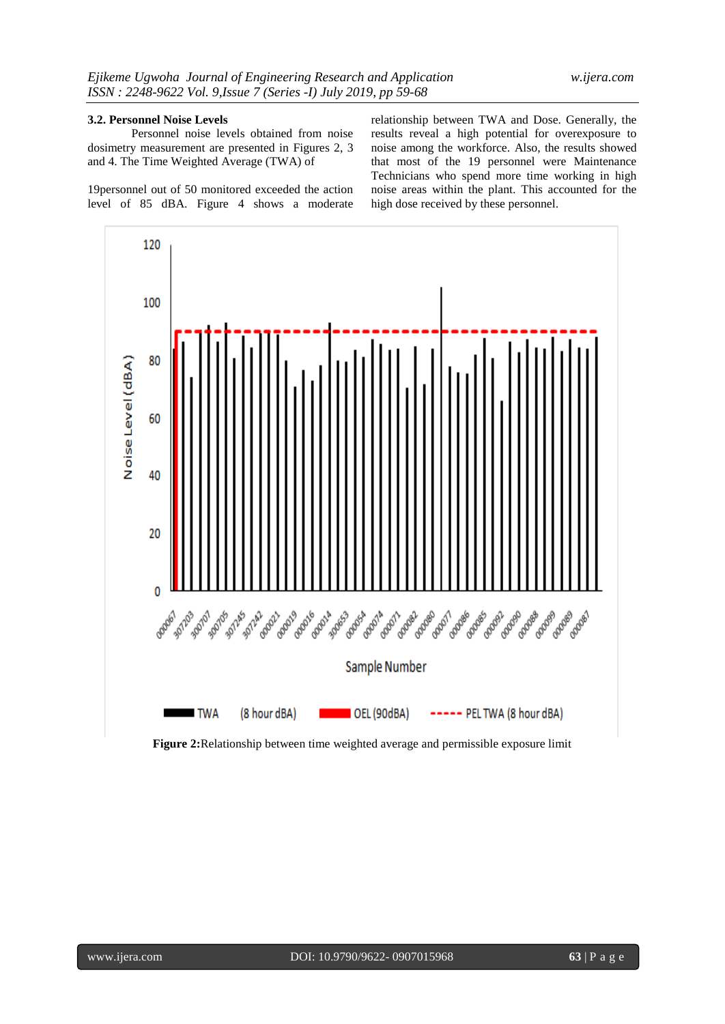## **3.2. Personnel Noise Levels**

Personnel noise levels obtained from noise dosimetry measurement are presented in Figures 2, 3 and 4. The Time Weighted Average (TWA) of

19personnel out of 50 monitored exceeded the action level of 85 dBA. Figure 4 shows a moderate relationship between TWA and Dose. Generally, the results reveal a high potential for overexposure to noise among the workforce. Also, the results showed that most of the 19 personnel were Maintenance Technicians who spend more time working in high noise areas within the plant. This accounted for the high dose received by these personnel.



**Figure 2:**Relationship between time weighted average and permissible exposure limit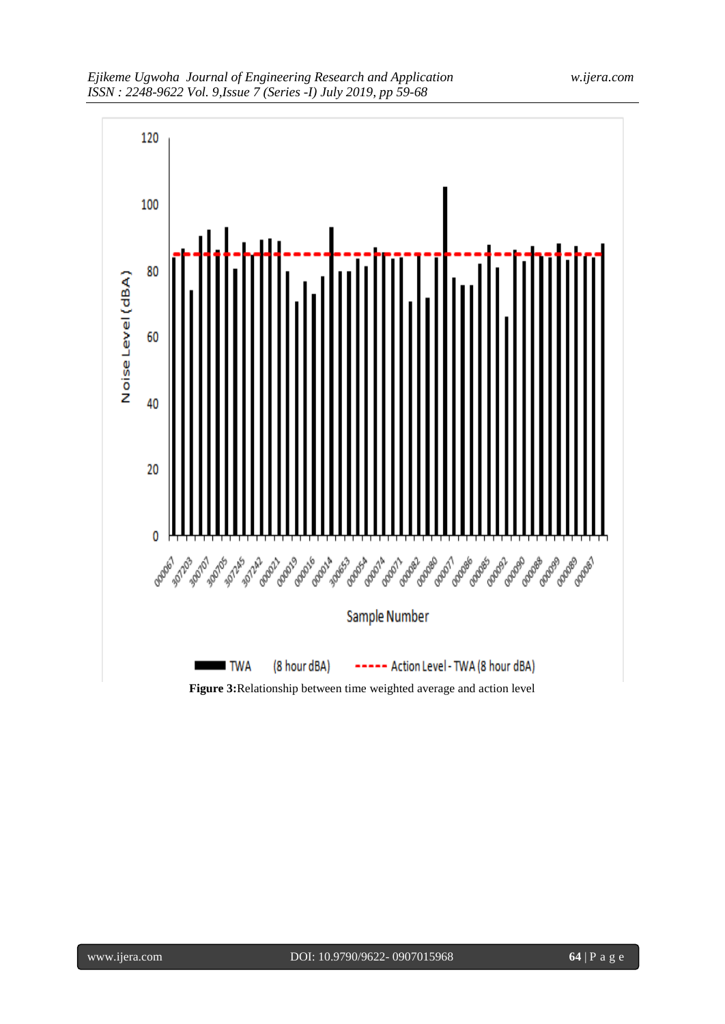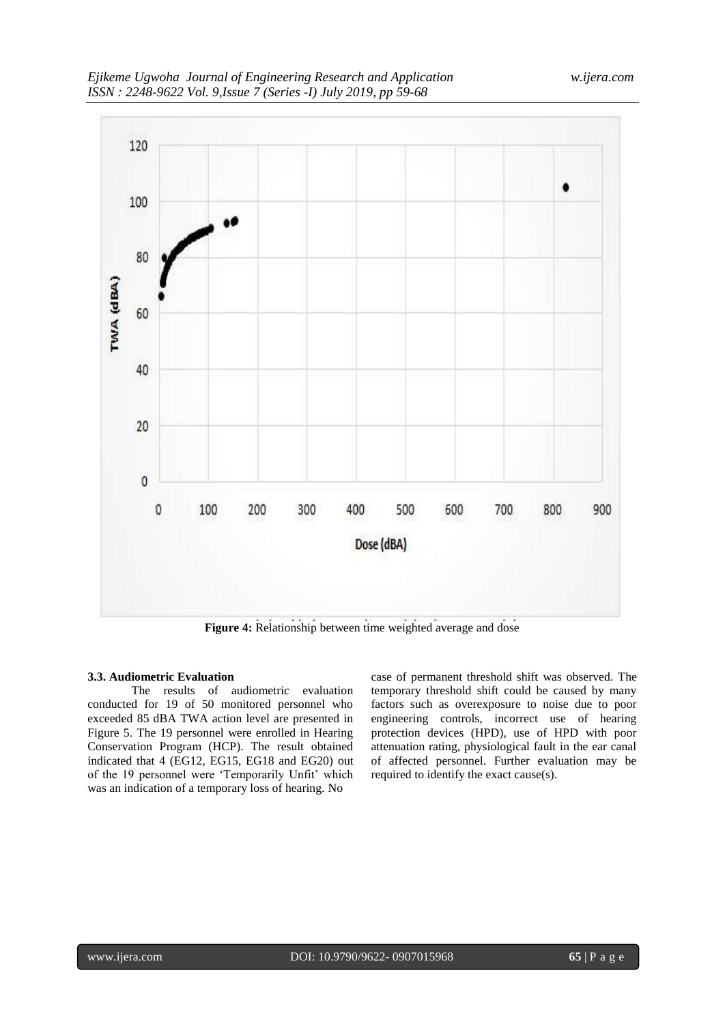

**Figure 4:** Relationship between time weighted average and dose

# **3.3. Audiometric Evaluation**

The results of audiometric evaluation conducted for 19 of 50 monitored personnel who exceeded 85 dBA TWA action level are presented in Figure 5. The 19 personnel were enrolled in Hearing Conservation Program (HCP). The result obtained indicated that 4 (EG12, EG15, EG18 and EG20) out of the 19 personnel were 'Temporarily Unfit' which was an indication of a temporary loss of hearing. No

case of permanent threshold shift was observed. The temporary threshold shift could be caused by many factors such as overexposure to noise due to poor engineering controls, incorrect use of hearing protection devices (HPD), use of HPD with poor attenuation rating, physiological fault in the ear canal of affected personnel. Further evaluation may be required to identify the exact cause(s).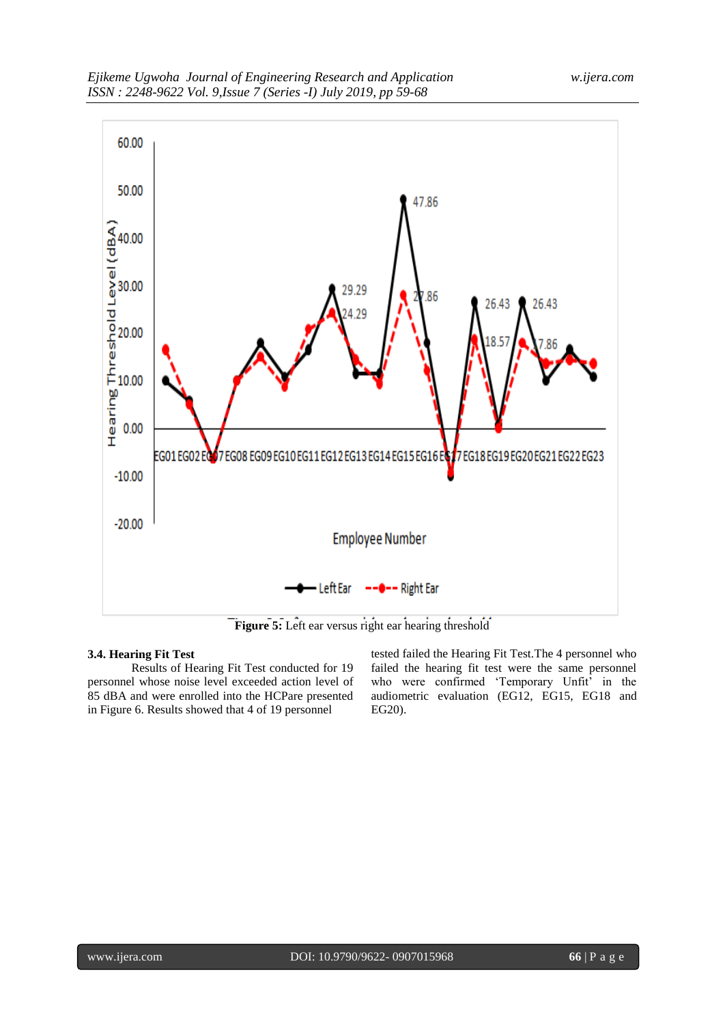

Figure 5: Left ear versus right ear hearing threshold

# **3.4. Hearing Fit Test**

Results of Hearing Fit Test conducted for 19 personnel whose noise level exceeded action level of 85 dBA and were enrolled into the HCPare presented in Figure 6. Results showed that 4 of 19 personnel

tested failed the Hearing Fit Test.The 4 personnel who failed the hearing fit test were the same personnel who were confirmed 'Temporary Unfit' in the audiometric evaluation (EG12, EG15, EG18 and EG20).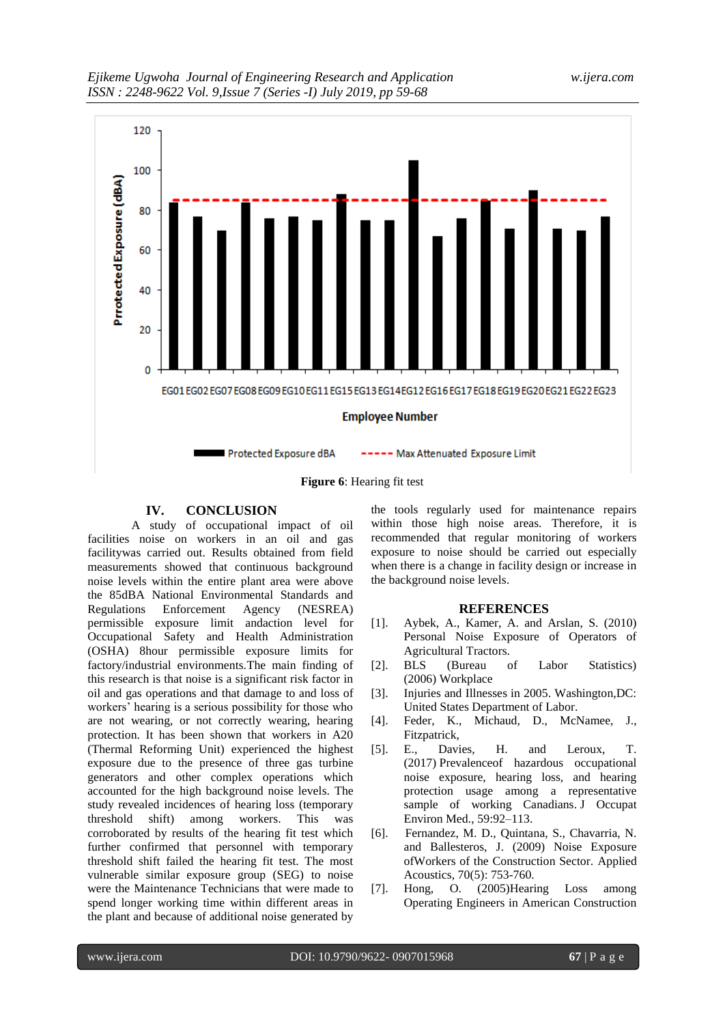

## **Figure 6**: Hearing fit test

# **IV. CONCLUSION**

A study of occupational impact of oil facilities noise on workers in an oil and gas facilitywas carried out. Results obtained from field measurements showed that continuous background noise levels within the entire plant area were above the 85dBA National Environmental Standards and Regulations Enforcement Agency (NESREA) permissible exposure limit andaction level for Occupational Safety and Health Administration (OSHA) 8hour permissible exposure limits for factory/industrial environments.The main finding of this research is that noise is a significant risk factor in oil and gas operations and that damage to and loss of workers' hearing is a serious possibility for those who are not wearing, or not correctly wearing, hearing protection. It has been shown that workers in A20 (Thermal Reforming Unit) experienced the highest exposure due to the presence of three gas turbine generators and other complex operations which accounted for the high background noise levels. The study revealed incidences of hearing loss (temporary threshold shift) among workers. This was corroborated by results of the hearing fit test which further confirmed that personnel with temporary threshold shift failed the hearing fit test. The most vulnerable similar exposure group (SEG) to noise were the Maintenance Technicians that were made to spend longer working time within different areas in the plant and because of additional noise generated by

the tools regularly used for maintenance repairs within those high noise areas. Therefore, it is recommended that regular monitoring of workers exposure to noise should be carried out especially when there is a change in facility design or increase in the background noise levels.

## **REFERENCES**

- [1]. Aybek, A., Kamer, A. and Arslan, S. (2010) Personal Noise Exposure of Operators of Agricultural Tractors.
- [2]. BLS (Bureau of Labor Statistics) (2006) Workplace
- [3]. Injuries and Illnesses in 2005. Washington,DC: United States Department of Labor.
- [4]. Feder, K., Michaud, D., McNamee, J., Fitzpatrick,
- [5]. E., Davies, H. and Leroux, T. (2017) Prevalenceof hazardous occupational noise exposure, hearing loss, and hearing protection usage among a representative sample of working Canadians. J Occupat Environ Med., 59:92–113.
- [6]. Fernandez, M. D., Quintana, S., Chavarria, N. and Ballesteros, J. (2009) Noise Exposure ofWorkers of the Construction Sector. Applied Acoustics, 70(5): 753-760.
- [7]. Hong, O. (2005)Hearing Loss among Operating Engineers in American Construction